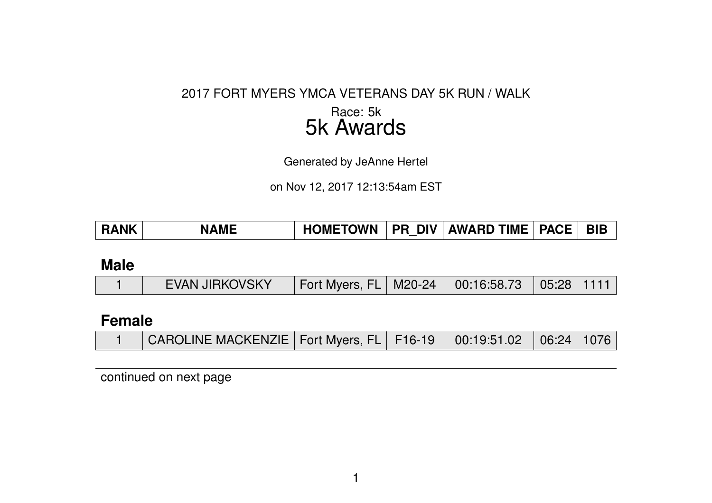#### 2017 FORT MYERS YMCA VETERANS DAY 5K RUN / WALK

### Race: 5k 5k Awards

Generated by JeAnne Hertel

on Nov 12, 2017 12:13:54am EST

|  | <b>RANK</b> | <b>AME</b><br>N | <b>HOMETOWN</b> | <b>DIV</b><br><b>PR</b> | <b>AWARD TIME</b> | <b>PACE</b> | <b>BIB</b> |
|--|-------------|-----------------|-----------------|-------------------------|-------------------|-------------|------------|
|--|-------------|-----------------|-----------------|-------------------------|-------------------|-------------|------------|

#### **Male**

|  | <b>EVAN JIRKOVSKY</b> | Fort Myers, FL   M20-24   00:16:58.73   05:28   1111 |  |  |  |  |
|--|-----------------------|------------------------------------------------------|--|--|--|--|
|--|-----------------------|------------------------------------------------------|--|--|--|--|

## **Female**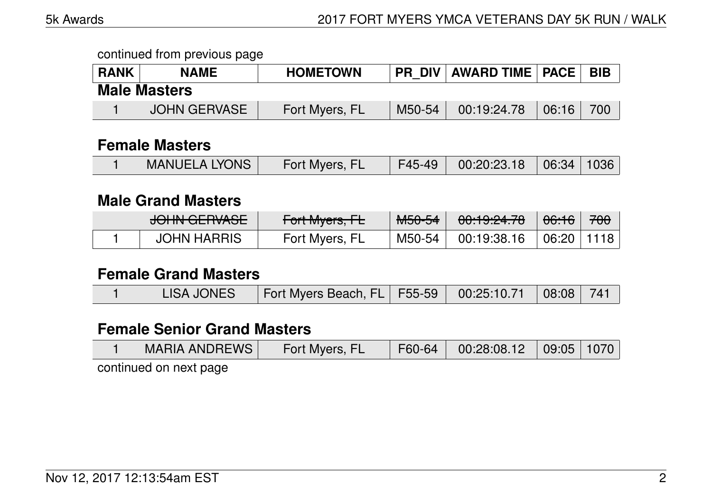| <b>RANK</b> | <b>NAME</b>         | <b>HOMETOWN</b> | <b>PR DIV</b> | AWARD TIME   PACE |       | <b>BIB</b> |
|-------------|---------------------|-----------------|---------------|-------------------|-------|------------|
|             | <b>Male Masters</b> |                 |               |                   |       |            |
|             | JOHN GERVASE        | Fort Myers, FL  | M50-54        | 00:19:24.78       | 06:16 | 700        |

#### **Female Masters**

|  | <b>MANUELA LYONS</b> | Fort Myers, FL | F45-49 | $\begin{array}{ c c c c c }\ \hline \text{00:20:23.18} & \text{06:34} & \text{1036}\ \hline \end{array}$ |  |  |
|--|----------------------|----------------|--------|----------------------------------------------------------------------------------------------------------|--|--|
|--|----------------------|----------------|--------|----------------------------------------------------------------------------------------------------------|--|--|

#### **Male Grand Masters**

| IOUNI OF DUACE<br><del>JUHN ULHVAJE</del> | $\Gamma$ <sub>art</sub> $M_{\nu\alpha\kappa\alpha}$ $\Gamma$<br>$T$ UITIVIYUIS, IE | $MLQLA$<br>™ਰਹਾਰਜ | 0.10.0170<br>700.13.27.70 | <del>06:16</del> | 700 |
|-------------------------------------------|------------------------------------------------------------------------------------|-------------------|---------------------------|------------------|-----|
| <b>JOHN HARRIS</b>                        | Fort Myers, FL                                                                     | M50-54            | 00:19:38.16               | l 06:20 l        |     |

#### **Female Grand Masters**

|  |  | LISA JONES   Fort Myers Beach, FL   F55-59   00:25:10.71   08:08   741 |  |  |  |  |
|--|--|------------------------------------------------------------------------|--|--|--|--|
|--|--|------------------------------------------------------------------------|--|--|--|--|

## **Female Senior Grand Masters**

| MARIA ANDREWS | Fort Myers, FL | $\mid$ F60-64 $\mid$ | $\begin{array}{ c c c c c c } \hline 00:28:08.12 & 09:05 & 1070 \hline \end{array}$ |  |
|---------------|----------------|----------------------|-------------------------------------------------------------------------------------|--|
|               |                |                      |                                                                                     |  |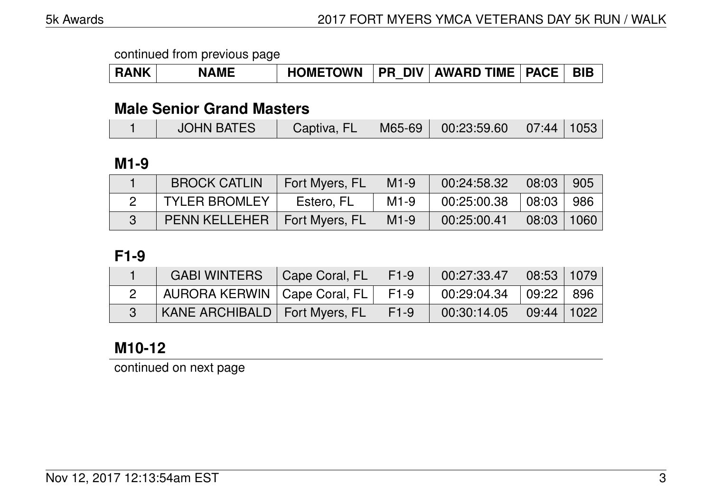| <b>RANK</b> | <b>NAME</b> | <b>HOMETOWN</b> |  | <b>PR DIV AWARD TIME   PACE  </b> |  | <b>BIB</b> |
|-------------|-------------|-----------------|--|-----------------------------------|--|------------|
|-------------|-------------|-----------------|--|-----------------------------------|--|------------|

#### **Male Senior Grand Masters**

|  | <b>JOHN BATES</b> | Captiva, FL |  | $\parallel$ M65-69 $\parallel$ 00:23:59.60 $\parallel$ 07:44 $\parallel$ 1053 |  |  |
|--|-------------------|-------------|--|-------------------------------------------------------------------------------|--|--|
|--|-------------------|-------------|--|-------------------------------------------------------------------------------|--|--|

### **M1-9**

| <b>BROCK CATLIN</b>            | Fort Myers, FL | $M1-9$ | 00:24:58.32 | 08:03 905                       |  |
|--------------------------------|----------------|--------|-------------|---------------------------------|--|
| <b>TYLER BROMLEY</b>           | Estero, FL     | $M1-9$ | 00:25:00.38 | 08:03 986                       |  |
| PENN KELLEHER   Fort Myers, FL |                | $M1-9$ | 00:25:00.41 | $\mid$ 08:03 $\mid$ 1060 $\mid$ |  |

#### **F1-9**

| <b>GABI WINTERS</b>                    | Cape Coral, FL | $F1-9$ | 00:27:33.47 | 08:53 1079   |  |
|----------------------------------------|----------------|--------|-------------|--------------|--|
| AURORA KERWIN   Cape Coral, FL         |                | F1-9   | 00:29:04.34 | 09:22 896    |  |
| <b>KANE ARCHIBALD</b>   Fort Myers, FL |                | F1-9   | 00:30:14.05 | 09:44   1022 |  |

## **M10-12**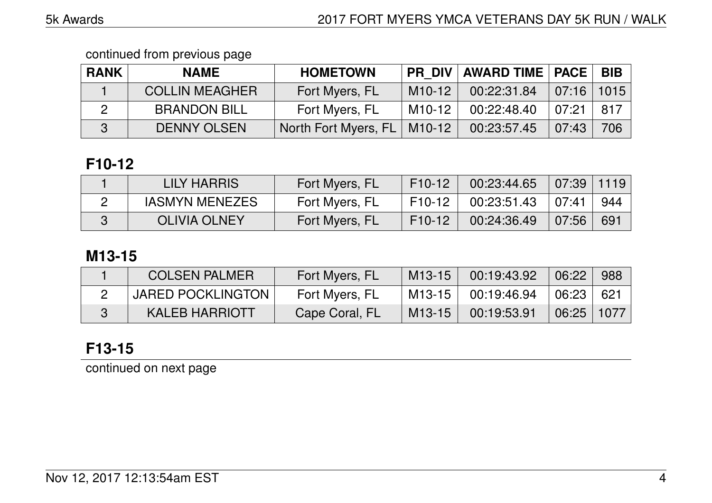| <b>RANK</b> | <b>NAME</b>           | <b>HOMETOWN</b>      |          | <b>PR DIV AWARD TIME PACE</b> |                | <b>BIB</b> |
|-------------|-----------------------|----------------------|----------|-------------------------------|----------------|------------|
|             | <b>COLLIN MEAGHER</b> | Fort Myers, FL       | $M10-12$ | 00:22:31.84                   | $07:16$   1015 |            |
|             | <b>BRANDON BILL</b>   | Fort Myers, FL       | M10-12   | 00:22:48.40                   | 07:21          | 817        |
|             | <b>DENNY OLSEN</b>    | North Fort Myers, FL | M10-12   | 00:23:57.45                   | 07:43          | 706        |

# **F10-12**

| LILY HARRIS           | Fort Myers, FL | F10-12   | 00:23:44.65 | 07:39         | 1119 |
|-----------------------|----------------|----------|-------------|---------------|------|
| <b>IASMYN MENEZES</b> | Fort Myers, FL | F10-12 l | 00:23:51.43 | $\perp$ 07:41 | 944  |
| <b>OLIVIA OLNEY</b>   | Fort Myers, FL | F10-12   | 00:24:36.49 | 07:56         | 691  |

## **M13-15**

| <b>COLSEN PALMER</b>     | Fort Myers, FL | $M13-15$ | 00:19:43.92 | $\big $ 06:22  | 988   |
|--------------------------|----------------|----------|-------------|----------------|-------|
| <b>JARED POCKLINGTON</b> | Fort Myers, FL | $M13-15$ | 00:19:46.94 | 06:23          | 621 ∣ |
| <b>KALEB HARRIOTT</b>    | Cape Coral, FL | $M13-15$ | 00:19:53.91 | $\sqrt{06:25}$ | 1077  |

# **F13-15**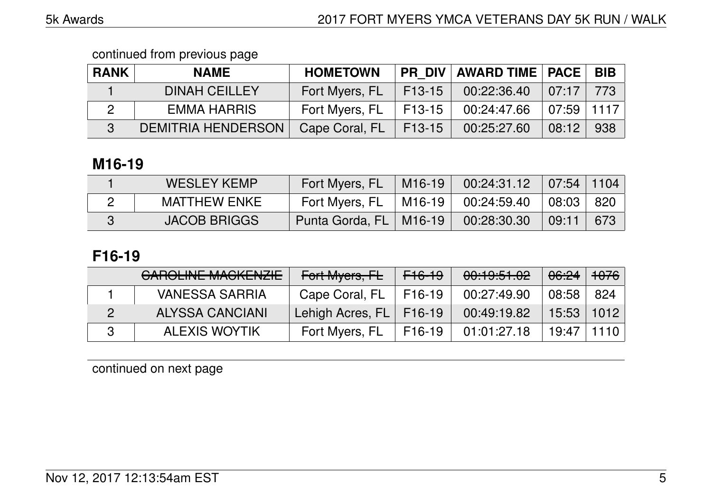| <b>RANK</b> | <b>NAME</b>               | <b>HOMETOWN</b> |          | <b>PR DIV AWARD TIME   PACE  </b> |                   | <b>BIB</b> |
|-------------|---------------------------|-----------------|----------|-----------------------------------|-------------------|------------|
|             | <b>DINAH CEILLEY</b>      | Fort Myers, FL  | $F13-15$ | 00:22:36.40                       | $\mid 07:17 \mid$ | 773        |
|             | EMMA HARRIS               | Fort Myers, FL  | l F13-15 | 00:24:47.66                       | $07:59$   1117    |            |
|             | <b>DEMITRIA HENDERSON</b> | Cape Coral, FL  | F13-15   | 00:25:27.60                       | 08:12             | 938        |

## **M16-19**

| <b>WESLEY KEMP</b>  | Fort Myers, FL           | M16-19    00:24:31.12    07:54    1104 |                       |     |
|---------------------|--------------------------|----------------------------------------|-----------------------|-----|
| <b>MATTHEW ENKE</b> | Fort Myers, FL           | $\vert$ M16-19 $\vert$ 00:24:59.40     | $\vert$ 08:03 $\vert$ | 820 |
| <b>JACOB BRIGGS</b> | Punta Gorda, FL   M16-19 | 00:28:30.30                            | $\parallel$ 09:11     | 673 |

## **F16-19**

| CAROLINE MACKENZIE     | Fort Myers, FL            | <del>F16-19</del> | 00:19:51.02 | <del>06:24</del> ∣ <del>1076</del> i |      |
|------------------------|---------------------------|-------------------|-------------|--------------------------------------|------|
| <b>VANESSA SARRIA</b>  | Cape Coral, FL            | F16-19            | 00:27:49.90 | 08:58                                | 824  |
| <b>ALYSSA CANCIANI</b> | Lehigh Acres, FL   F16-19 |                   | 00:49:19.82 | 15:53                                | 1012 |
| <b>ALEXIS WOYTIK</b>   | Fort Myers, FL            | F16-19            | 01:01:27.18 | 19:47                                | 1110 |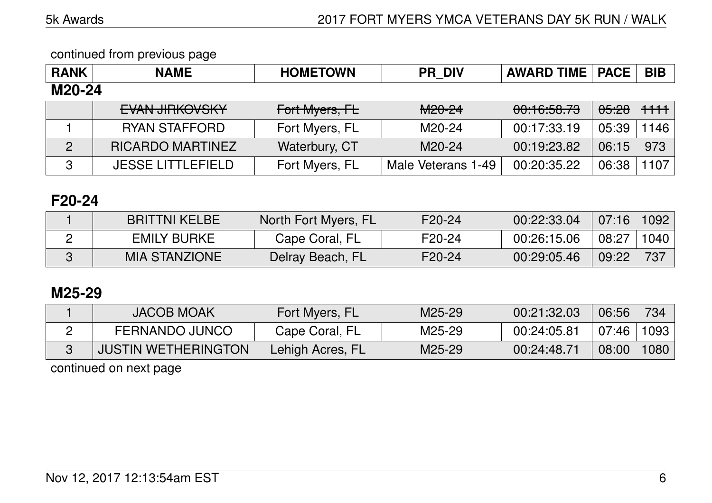| <b>RANK</b>    | <b>NAME</b>                                     | <b>HOMETOWN</b> | <b>PR DIV</b>      | <b>AWARD TIME   PACE</b> |                  | <b>BIB</b> |
|----------------|-------------------------------------------------|-----------------|--------------------|--------------------------|------------------|------------|
| M20-24         |                                                 |                 |                    |                          |                  |            |
|                | <b>EVAN HOKOVOKY</b><br><b>LVAIN JIHROVJINT</b> | Fort Myers, FL  | M <sub>20-24</sub> | 00:16:58.79              | <del>05.28</del> | $+ + +$    |
|                | <b>RYAN STAFFORD</b>                            | Fort Myers, FL  | M20-24             | 00:17:33.19              | 05:39            | 1146       |
| $\overline{2}$ | <b>RICARDO MARTINEZ</b>                         | Waterbury, CT   | M20-24             | 00:19:23.82              | 06:15            | 973        |
| 3              | <b>JESSE LITTLEFIELD</b>                        | Fort Myers, FL  | Male Veterans 1-49 | 00:20:35.22              | 06:38            | 1107       |

## **F20-24**

| <b>BRITTNI KELBE</b> | North Fort Myers, FL | $F20-24$ | 00:22:33.04 | 07:16 | $\mid$ 1092 $\mid$ |
|----------------------|----------------------|----------|-------------|-------|--------------------|
| <b>EMILY BURKE</b>   | Cape Coral, FL       | F20-24   | 00:26:15.06 | 08:27 | 1040               |
| <b>MIA STANZIONE</b> | Delray Beach, FL     | F20-24   | 00:29:05.46 | 09:22 | 737                |

## **M25-29**

| <b>JACOB MOAK</b>          | Fort Myers, FL   | M25-29 | 00:21:32.03 | 06:56 | 734  |
|----------------------------|------------------|--------|-------------|-------|------|
| <b>FERNANDO JUNCO</b>      | Cape Coral, FL   | M25-29 | 00:24:05.81 | 07:46 | 1093 |
| <b>JUSTIN WETHERINGTON</b> | Lehigh Acres, FL | M25-29 | 00:24:48.71 | 08:00 | 1080 |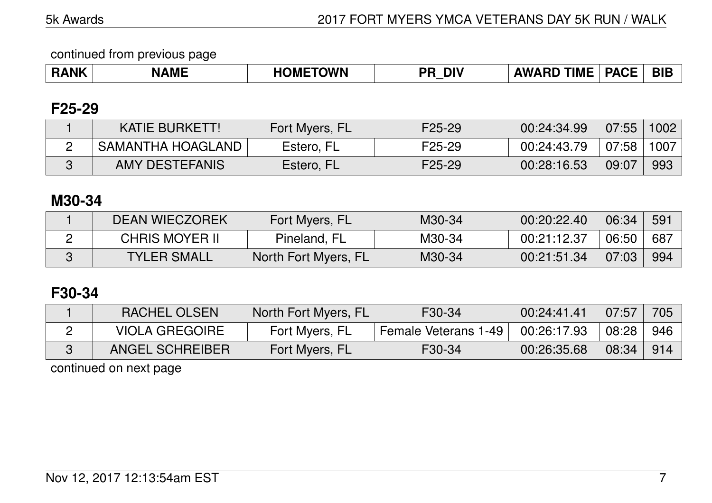|                        | _____     |                     |           |                     |                             |            |
|------------------------|-----------|---------------------|-----------|---------------------|-----------------------------|------------|
| WK<br>D A<br><b>HP</b> | MF<br>IV. | <b>TOWN</b><br>DMI' | DI\<br>DС | -----<br>WZ.<br>1MF | <b>DACE</b><br>$\mathbf{u}$ | <b>BIE</b> |
|                        |           |                     |           |                     |                             |            |

#### **F25-29**

| <b>KATIE BURKETT!</b> | Fort Myers, FL | F25-29 | 00:24:34.99 | 07:55    | 1002 |
|-----------------------|----------------|--------|-------------|----------|------|
| SAMANTHA HOAGLAND     | Estero, FL     | F25-29 | 00:24:43.79 | $+07:58$ | 1007 |
| AMY DESTEFANIS        | Estero, FL     | F25-29 | 00:28:16.53 | 09:07    | 993  |

### **M30-34**

| <b>DEAN WIECZOREK</b> | Fort Myers, FL       | M30-34 | 00:20:22.40 | 06:34 | -591 |
|-----------------------|----------------------|--------|-------------|-------|------|
| <b>CHRIS MOYER II</b> | Pineland, FL         | M30-34 | 00:21:12.37 | 06:50 | 687  |
| <b>TYLER SMALL</b>    | North Fort Myers, FL | M30-34 | 00:21:51.34 | 07:03 | -994 |

#### **F30-34**

| RACHEL OLSEN          | North Fort Myers, FL | F30-34               | 00:24:41.41 | 07:57            | 705 |
|-----------------------|----------------------|----------------------|-------------|------------------|-----|
| <b>VIOLA GREGOIRE</b> | Fort Myers, FL       | Female Veterans 1-49 | 00:26:17.93 | $^{\circ}$ 08:28 | 946 |
| ANGEL SCHREIBER       | Fort Myers, FL       | F <sub>30</sub> -34  | 00:26:35.68 | 08:34            | 914 |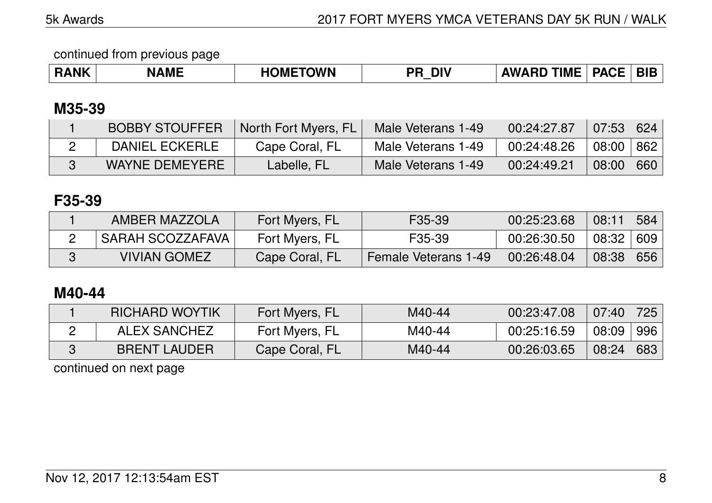| ¦ANK | NAML | <b>OWN</b><br>JMF<br>יי | <b>DIV</b><br>יכ | <b>TIME</b><br>1W A<br><b>RD</b> | DA.<br><b>CE</b> | <u>DI</u> |
|------|------|-------------------------|------------------|----------------------------------|------------------|-----------|
|------|------|-------------------------|------------------|----------------------------------|------------------|-----------|

## **M35-39**

| <b>BOBBY STOUFFER</b> | North Fort Myers, FL | Male Veterans 1-49 | 00:24:27.87 | $\vert$ 07:53 $\vert$ 624 |     |
|-----------------------|----------------------|--------------------|-------------|---------------------------|-----|
| DANIEL ECKERLE        | Cape Coral, FL       | Male Veterans 1-49 | 00:24:48.26 | 08:00   862               |     |
| <b>WAYNE DEMEYERE</b> | Labelle, FL          | Male Veterans 1-49 | 00:24:49.21 | 08:00                     | 660 |

## **F35-39**

| AMBER MAZZOLA           | Fort Myers, FL | F35-39                      | 00:25:23.68 | 08:11       | 584 |
|-------------------------|----------------|-----------------------------|-------------|-------------|-----|
| <b>SARAH SCOZZAFAVA</b> | Fort Myers, FL | F <sub>35</sub> -39         | 00:26:30.50 | 08:32   609 |     |
| <b>VIVIAN GOMEZ</b>     | Cape Coral, FL | <b>Female Veterans 1-49</b> | 00:26:48.04 | 08:38   656 |     |

## **M40-44**

| <b>RICHARD WOYTIK</b> | Fort Myers, FL | M40-44 | 00:23:47.08 | $07:40$ 725 |     |
|-----------------------|----------------|--------|-------------|-------------|-----|
| <b>ALEX SANCHEZ</b>   | Fort Myers, FL | M40-44 | 00:25:16.59 | 08:09       | 996 |
| <b>BRENT LAUDER</b>   | Cape Coral, FL | M40-44 | 00:26:03.65 | 08:24       | 683 |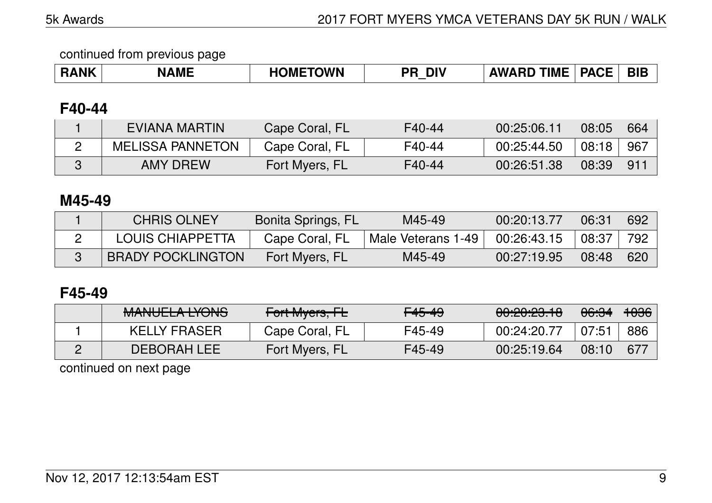| ---<br>------<br><b>IME</b><br>. B 8 F<br><b>AIK</b><br><b>DIV</b><br>D0<br>ΔWΔ<br>RD<br>)MI<br>)WN<br>√MF<br>.<br>ЕД<br>-- | <b>BIB</b> |
|-----------------------------------------------------------------------------------------------------------------------------|------------|
|-----------------------------------------------------------------------------------------------------------------------------|------------|

#### **F40-44**

| EVIANA MARTIN           | Cape Coral, FL | F40-44 | 00:25:06.11 | 08:05 | 664             |
|-------------------------|----------------|--------|-------------|-------|-----------------|
| <b>MELISSA PANNETON</b> | Cape Coral, FL | F40-44 | 00:25:44.50 | 08:18 | -967            |
| <b>AMY DREW</b>         | Fort Myers, FL | F40-44 | 00:26:51.38 | 08:39 | 91 <sup>1</sup> |

## **M45-49**

| <b>CHRIS OLNEY</b>       | Bonita Springs, FL | M45-49             | 00:20:13.77 | 06:31 | 692 |
|--------------------------|--------------------|--------------------|-------------|-------|-----|
| LOUIS CHIAPPETTA         | Cape Coral, FL     | Male Veterans 1-49 | 00:26:43.15 | 08:37 | 792 |
| <b>BRADY POCKLINGTON</b> | Fort Myers, FL     | M45-49             | 00:27:19.95 | 08:48 | 620 |

## **F45-49**

| MANILIEL A IVANIO<br><b>MANULLA LIUNU</b> | Fort Myers, FL | <del>F45-49</del> | <u>AA.AA.AA 10</u><br><del>00.20.20.10</del> | <del>06:34</del> | <del>1036</del> |
|-------------------------------------------|----------------|-------------------|----------------------------------------------|------------------|-----------------|
| <b>KELLY FRASER</b>                       | Cape Coral, FL | F45-49            | 00:24:20.77                                  | 07:51            | 886             |
| <b>DEBORAH LEE</b>                        | Fort Myers, FL | F45-49            | 00:25:19.64                                  | 08:10            | 677             |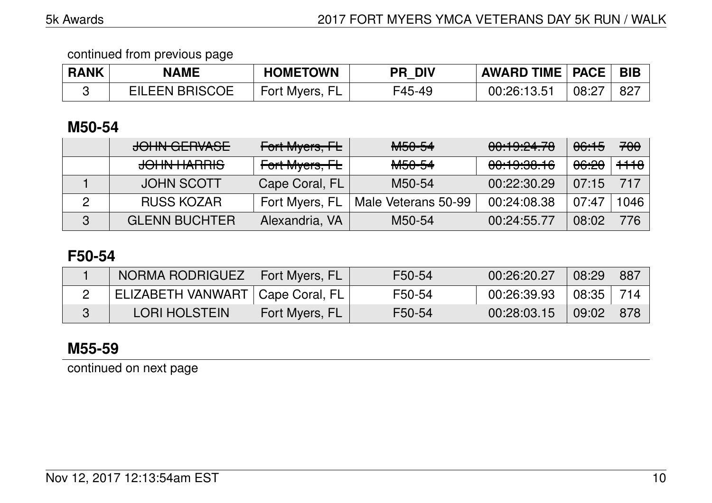| <b>RANK</b> | <b>NAME</b>           | <b>HOMETOWN</b> | <b>PR DIV</b> | <b>AWARD TIME   PACE  </b> |       | BIB |
|-------------|-----------------------|-----------------|---------------|----------------------------|-------|-----|
|             | <b>EILEEN BRISCOE</b> | Fort Myers, FL  | F45-49        | 00:26:13.51                | 08:27 | -82 |

### **M50-54**

| JOHN GERVASE         | Fort Myers, FL | M <sub>50</sub> -54 | 00:19:24.78 | <del>06:15</del> | <del>700</del>  |
|----------------------|----------------|---------------------|-------------|------------------|-----------------|
| JOHN HARRIS          | Fort Myers, FL | M <sub>50-54</sub>  | 00:19:38.16 | <del>06:20</del> | <del>1118</del> |
| <b>JOHN SCOTT</b>    | Cape Coral, FL | M50-54              | 00:22:30.29 | 07:15            | 717             |
| <b>RUSS KOZAR</b>    | Fort Myers, FL | Male Veterans 50-99 | 00:24:08.38 | 07:47            | 1046            |
| <b>GLENN BUCHTER</b> | Alexandria, VA | M50-54              | 00:24:55.77 | 08:02            | 776             |

## **F50-54**

| NORMA RODRIGUEZ   Fort Myers, FL   |                | F50-54 | 00:26:20.27 | 08:29 | 887 |
|------------------------------------|----------------|--------|-------------|-------|-----|
| ELIZABETH VANWART   Cape Coral, FL |                | F50-54 | 00:26:39.93 | 08:35 | 714 |
| <b>LORI HOLSTEIN</b>               | Fort Myers, FL | F50-54 | 00:28:03.15 | 09:02 | 878 |

## **M55-59**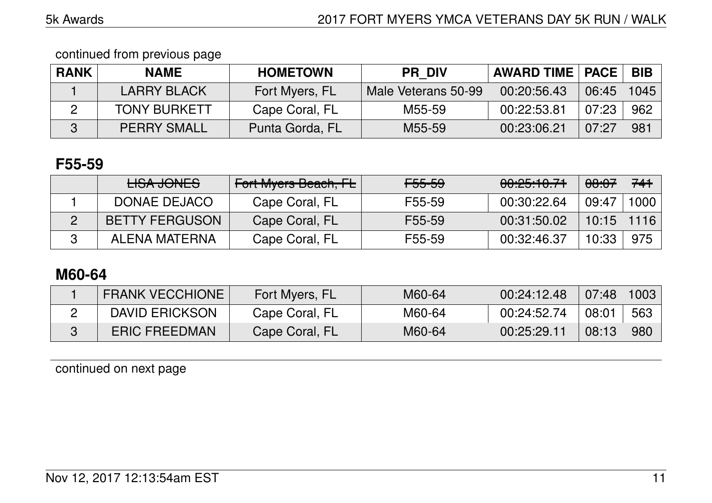| <b>RANK</b> | <b>NAME</b>         | <b>HOMETOWN</b> | <b>PR DIV</b>       | <b>AWARD TIME   PACE  </b> |       | BIB  |
|-------------|---------------------|-----------------|---------------------|----------------------------|-------|------|
|             | <b>LARRY BLACK</b>  | Fort Myers, FL  | Male Veterans 50-99 | 00:20:56.43                | 06:45 | 1045 |
|             | <b>TONY BURKETT</b> | Cape Coral, FL  | M55-59              | 00:22:53.81                | 07:23 | 962  |
|             | <b>PERRY SMALL</b>  | Punta Gorda, FL | M55-59              | 00:23:06.21                | 07:27 | 981  |

## **F55-59**

| HSA JONES             | <b>Fort Myers Beach, FL</b> | <del>F55-59</del> | <del>00:25:10.71</del> | <del>08:07</del> | 741  |
|-----------------------|-----------------------------|-------------------|------------------------|------------------|------|
| DONAE DEJACO          | Cape Coral, FL              | F55-59            | 00:30:22.64            | 09:47            | 1000 |
| <b>BETTY FERGUSON</b> | Cape Coral, FL              | F55-59            | 00:31:50.02            | $10:15$   1116   |      |
| ALENA MATERNA         | Cape Coral, FL              | F55-59            | 00:32:46.37            | 10:33            | 975  |

## **M60-64**

| <b>FRANK VECCHIONE</b> | Fort Myers, FL | M60-64 | 00:24:12.48 | $\mid 07:48 \rangle$ | 1003 |
|------------------------|----------------|--------|-------------|----------------------|------|
| <b>DAVID ERICKSON</b>  | Cape Coral, FL | M60-64 | 00:24:52.74 | 08:01                | 563  |
| <b>ERIC FREEDMAN</b>   | Cape Coral, FL | M60-64 | 00:25:29.11 | 08:13                | 980  |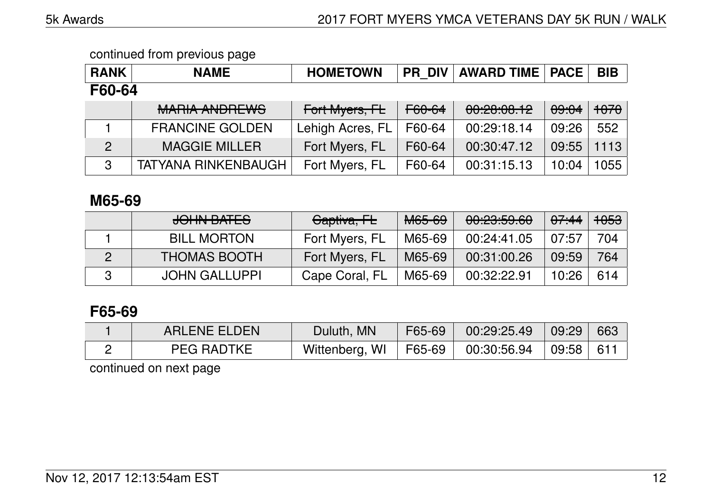| <b>RANK</b>    | <b>NAME</b>                | <b>HOMETOWN</b>  | <b>PR DIV</b>     | <b>AWARD TIME   PACE</b> |       | <b>BIB</b> |
|----------------|----------------------------|------------------|-------------------|--------------------------|-------|------------|
| F60-64         |                            |                  |                   |                          |       |            |
|                | <b>MARIA ANDREWS</b>       | Fort Myers, FL   | <del>F60-64</del> | 00:20:00.12              | 09:04 | $+0.70$    |
|                | <b>FRANCINE GOLDEN</b>     | Lehigh Acres, FL | F60-64            | 00:29:18.14              | 09:26 | 552        |
| $\overline{2}$ | <b>MAGGIE MILLER</b>       | Fort Myers, FL   | F60-64            | 00:30:47.12              | 09:55 | 1113       |
| 3              | <b>TATYANA RINKENBAUGH</b> | Fort Myers, FL   | F60-64            | 00:31:15.13              | 10:04 | 1055       |

### **M65-69**

| JOHN BATES           | Captiva, FL    | M65-69 | 0.005000<br><u>UU.CU.JJ.UU</u> | <del>07:44</del> | <del>1053</del> |
|----------------------|----------------|--------|--------------------------------|------------------|-----------------|
| <b>BILL MORTON</b>   | Fort Myers, FL | M65-69 | 00:24:41.05                    | 07:57            | 704             |
| <b>THOMAS BOOTH</b>  | Fort Myers, FL | M65-69 | 00:31:00.26                    | 09:59            | 764             |
| <b>JOHN GALLUPPI</b> | Cape Coral, FL | M65-69 | 00:32:22.91                    | 10:26            | 614             |

## **F65-69**

| <b>ARLENE ELDEN</b> | Duluth, MN              | F65-69 | $00:29:25.49$ 09:29                   | 663 |
|---------------------|-------------------------|--------|---------------------------------------|-----|
| <b>PEG RADTKE</b>   | Wittenberg, WI   F65-69 |        | $\parallel$ 00:30:56.94   09:58   611 |     |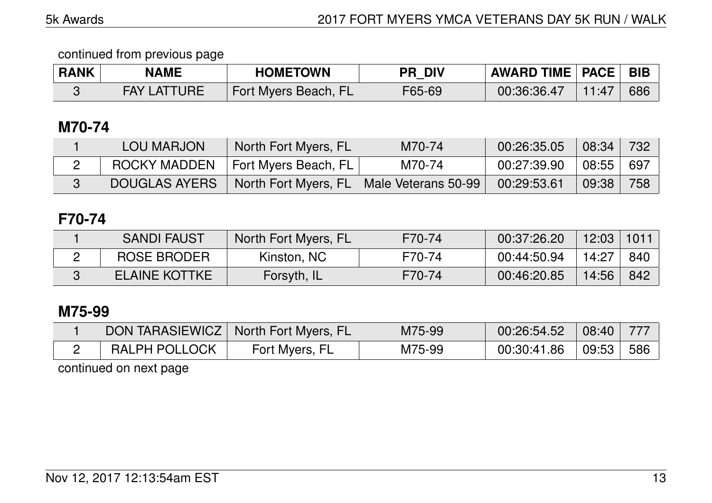| <b>RANK</b> | <b>NAME</b>        | <b>HOMETOWN</b>      | <b>PR DIV</b> | <b>AWARD TIME   PACE   BIB</b> |       |     |
|-------------|--------------------|----------------------|---------------|--------------------------------|-------|-----|
|             | <b>FAY LATTURE</b> | Fort Myers Beach, FL | F65-69        | 00:36:36.47                    | 11:47 | 686 |

## **M70-74**

| <b>LOU MARJON</b>    | North Fort Myers, FL | M70-74              | 00:26:35.05 | $\sqrt{08:34}$ | 732   |
|----------------------|----------------------|---------------------|-------------|----------------|-------|
| ROCKY MADDEN         | Fort Myers Beach, FL | M70-74              | 00:27:39.90 | 08:55          | - 697 |
| <b>DOUGLAS AYERS</b> | North Fort Myers, FL | Male Veterans 50-99 | 00:29:53.61 | 09:38          | 758   |

## **F70-74**

| <b>SANDI FAUST</b>   | North Fort Myers, FL | F70-74 | 00:37:26.20 | 12:03 | 1011 |
|----------------------|----------------------|--------|-------------|-------|------|
| <b>ROSE BRODER</b>   | Kinston, NC          | F70-74 | 00:44:50.94 | 14:27 | 840  |
| <b>ELAINE KOTTKE</b> | Forsyth, IL          | F70-74 | 00:46:20.85 | 14:56 | 842  |

## **M75-99**

|                      | <b>TOON TARASIEWICZ</b> North Fort Myers, FL | M75-99 | 00:26:54.52 | 08:40 |     |
|----------------------|----------------------------------------------|--------|-------------|-------|-----|
| <b>RALPH POLLOCK</b> | Fort Myers, FL                               | M75-99 | 00:30:41.86 | 09:53 | 586 |